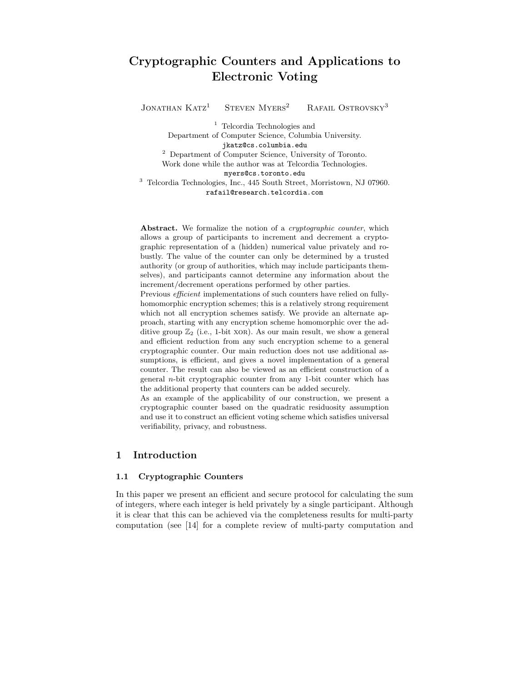# Cryptographic Counters and Applications to Electronic Voting

JONATHAN  $KATZ<sup>1</sup>$  STEVEN MYERS<sup>2</sup> RAFAIL OSTROVSKY<sup>3</sup>

<sup>1</sup> Telcordia Technologies and Department of Computer Science, Columbia University. jkatz@cs.columbia.edu <sup>2</sup> Department of Computer Science, University of Toronto. Work done while the author was at Telcordia Technologies. myers@cs.toronto.edu <sup>3</sup> Telcordia Technologies, Inc., 445 South Street, Morristown, NJ 07960. rafail@research.telcordia.com

Abstract. We formalize the notion of a *cryptographic counter*, which allows a group of participants to increment and decrement a cryptographic representation of a (hidden) numerical value privately and robustly. The value of the counter can only be determined by a trusted authority (or group of authorities, which may include participants themselves), and participants cannot determine any information about the increment/decrement operations performed by other parties.

Previous efficient implementations of such counters have relied on fullyhomomorphic encryption schemes; this is a relatively strong requirement which not all encryption schemes satisfy. We provide an alternate approach, starting with any encryption scheme homomorphic over the additive group  $\mathbb{Z}_2$  (i.e., 1-bit XOR). As our main result, we show a general and efficient reduction from any such encryption scheme to a general cryptographic counter. Our main reduction does not use additional assumptions, is efficient, and gives a novel implementation of a general counter. The result can also be viewed as an efficient construction of a general n-bit cryptographic counter from any 1-bit counter which has the additional property that counters can be added securely.

As an example of the applicability of our construction, we present a cryptographic counter based on the quadratic residuosity assumption and use it to construct an efficient voting scheme which satisfies universal verifiability, privacy, and robustness.

## 1 Introduction

### 1.1 Cryptographic Counters

In this paper we present an efficient and secure protocol for calculating the sum of integers, where each integer is held privately by a single participant. Although it is clear that this can be achieved via the completeness results for multi-party computation (see [14] for a complete review of multi-party computation and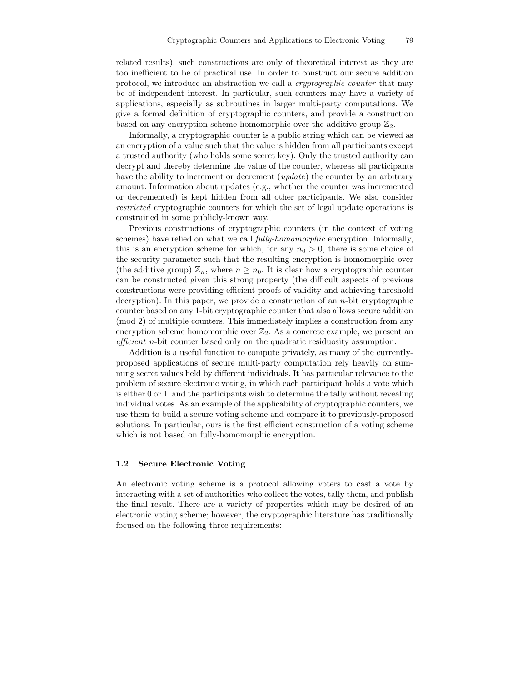related results), such constructions are only of theoretical interest as they are too inefficient to be of practical use. In order to construct our secure addition protocol, we introduce an abstraction we call a cryptographic counter that may be of independent interest. In particular, such counters may have a variety of applications, especially as subroutines in larger multi-party computations. We give a formal definition of cryptographic counters, and provide a construction based on any encryption scheme homomorphic over the additive group  $\mathbb{Z}_2$ .

Informally, a cryptographic counter is a public string which can be viewed as an encryption of a value such that the value is hidden from all participants except a trusted authority (who holds some secret key). Only the trusted authority can decrypt and thereby determine the value of the counter, whereas all participants have the ability to increment or decrement (*update*) the counter by an arbitrary amount. Information about updates (e.g., whether the counter was incremented or decremented) is kept hidden from all other participants. We also consider restricted cryptographic counters for which the set of legal update operations is constrained in some publicly-known way.

Previous constructions of cryptographic counters (in the context of voting schemes) have relied on what we call fully-homomorphic encryption. Informally, this is an encryption scheme for which, for any  $n_0 > 0$ , there is some choice of the security parameter such that the resulting encryption is homomorphic over (the additive group)  $\mathbb{Z}_n$ , where  $n \geq n_0$ . It is clear how a cryptographic counter can be constructed given this strong property (the difficult aspects of previous constructions were providing efficient proofs of validity and achieving threshold decryption). In this paper, we provide a construction of an n-bit cryptographic counter based on any 1-bit cryptographic counter that also allows secure addition (mod 2) of multiple counters. This immediately implies a construction from any encryption scheme homomorphic over  $\mathbb{Z}_2$ . As a concrete example, we present an efficient n-bit counter based only on the quadratic residuosity assumption.

Addition is a useful function to compute privately, as many of the currentlyproposed applications of secure multi-party computation rely heavily on summing secret values held by different individuals. It has particular relevance to the problem of secure electronic voting, in which each participant holds a vote which is either 0 or 1, and the participants wish to determine the tally without revealing individual votes. As an example of the applicability of cryptographic counters, we use them to build a secure voting scheme and compare it to previously-proposed solutions. In particular, ours is the first efficient construction of a voting scheme which is not based on fully-homomorphic encryption.

### 1.2 Secure Electronic Voting

An electronic voting scheme is a protocol allowing voters to cast a vote by interacting with a set of authorities who collect the votes, tally them, and publish the final result. There are a variety of properties which may be desired of an electronic voting scheme; however, the cryptographic literature has traditionally focused on the following three requirements: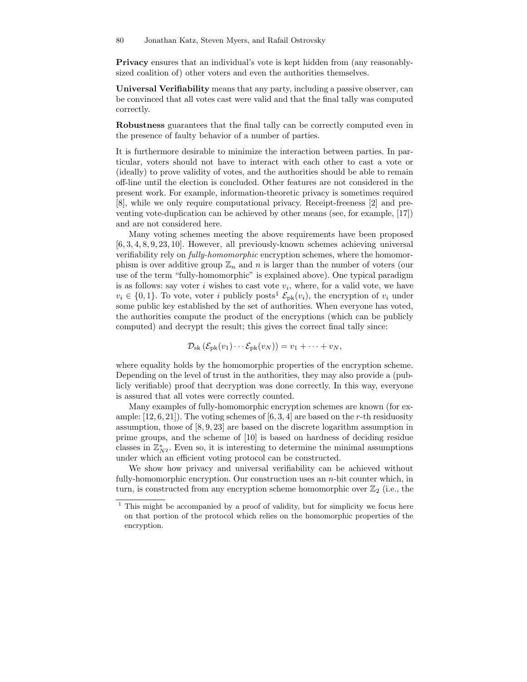Privacy ensures that an individual's vote is kept hidden from (any reasonablysized coalition of) other voters and even the authorities themselves.

Universal Verifiability means that any party, including a passive observer, can be convinced that all votes cast were valid and that the final tally was computed correctly.

Robustness guarantees that the final tally can be correctly computed even in the presence of faulty behavior of a number of parties.

It is furthermore desirable to minimize the interaction between parties. In particular, voters should not have to interact with each other to cast a vote or (ideally) to prove validity of votes, and the authorities should be able to remain off-line until the election is concluded. Other features are not considered in the present work. For example, information-theoretic privacy is sometimes required [8], while we only require computational privacy. Receipt-freeness [2] and preventing vote-duplication can be achieved by other means (see, for example, [17]) and are not considered here.

Many voting schemes meeting the above requirements have been proposed [6, 3, 4, 8, 9, 23, 10]. However, all previously-known schemes achieving universal verifiability rely on fully-homomorphic encryption schemes, where the homomorphism is over additive group  $\mathbb{Z}_n$  and n is larger than the number of voters (our use of the term "fully-homomorphic" is explained above). One typical paradigm is as follows: say voter  $i$  wishes to cast vote  $v_i$ , where, for a valid vote, we have  $v_i \in \{0, 1\}$ . To vote, voter i publicly posts<sup>1</sup>  $\mathcal{E}_{\text{pk}}(v_i)$ , the encryption of  $v_i$  under some public key established by the set of authorities. When everyone has voted, the authorities compute the product of the encryptions (which can be publicly computed) and decrypt the result; this gives the correct final tally since:

$$
\mathcal{D}_{sk}(\mathcal{E}_{pk}(v_1)\cdots \mathcal{E}_{pk}(v_N))=v_1+\cdots+v_N,
$$

where equality holds by the homomorphic properties of the encryption scheme. Depending on the level of trust in the authorities, they may also provide a (publicly verifiable) proof that decryption was done correctly. In this way, everyone is assured that all votes were correctly counted.

Many examples of fully-homomorphic encryption schemes are known (for example:  $[12, 6, 21]$ . The voting schemes of  $[6, 3, 4]$  are based on the r-th residuosity assumption, those of [8, 9, 23] are based on the discrete logarithm assumption in prime groups, and the scheme of [10] is based on hardness of deciding residue classes in  $\mathbb{Z}_{N^2}^*$ . Even so, it is interesting to determine the minimal assumptions under which an efficient voting protocol can be constructed.

We show how privacy and universal verifiability can be achieved without fully-homomorphic encryption. Our construction uses an  $n$ -bit counter which, in turn, is constructed from any encryption scheme homomorphic over  $\mathbb{Z}_2$  (i.e., the

<sup>&</sup>lt;sup>1</sup> This might be accompanied by a proof of validity, but for simplicity we focus here on that portion of the protocol which relies on the homomorphic properties of the encryption.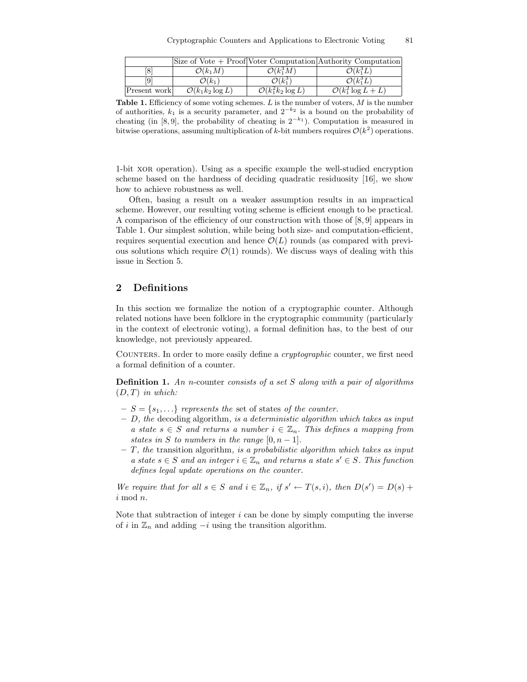|              |                             |                                 | Size of Vote + Proof Voter Computation Authority Computation |
|--------------|-----------------------------|---------------------------------|--------------------------------------------------------------|
| [8]          | $\mathcal{O}(k_1M)$         | $\mathcal{O}(k_1^3M)$           | $\mathcal{O}(k_1^3L)$                                        |
| [9           | $\mathcal{O}(k_1)$          | $\mathcal{O}(k_1^3)$            | $\mathcal{O}(k_1^3L)$                                        |
| Present work | $\mathcal{O}(k_1k_2\log L)$ | $\mathcal{O}(k_1^2 k_2 \log L)$ | $\overline{\mathcal{O}(k_1^2 \log L + L)}$                   |

**Table 1.** Efficiency of some voting schemes.  $L$  is the number of voters,  $M$  is the number of authorities,  $k_1$  is a security parameter, and  $2^{-k_2}$  is a bound on the probability of cheating (in [8,9], the probability of cheating is  $2^{-k_1}$ ). Computation is measured in bitwise operations, assuming multiplication of k-bit numbers requires  $\mathcal{O}(k^2)$  operations.

1-bit xor operation). Using as a specific example the well-studied encryption scheme based on the hardness of deciding quadratic residuosity [16], we show how to achieve robustness as well.

Often, basing a result on a weaker assumption results in an impractical scheme. However, our resulting voting scheme is efficient enough to be practical. A comparison of the efficiency of our construction with those of [8, 9] appears in Table 1. Our simplest solution, while being both size- and computation-efficient, requires sequential execution and hence  $\mathcal{O}(L)$  rounds (as compared with previous solutions which require  $\mathcal{O}(1)$  rounds). We discuss ways of dealing with this issue in Section 5.

## 2 Definitions

In this section we formalize the notion of a cryptographic counter. Although related notions have been folklore in the cryptographic community (particularly in the context of electronic voting), a formal definition has, to the best of our knowledge, not previously appeared.

Counters. In order to more easily define a cryptographic counter, we first need a formal definition of a counter.

**Definition 1.** An n-counter consists of a set  $S$  along with a pair of algorithms  $(D, T)$  in which:

- $-S = \{s_1, \ldots\}$  represents the set of states of the counter.
- $D$ , the decoding algorithm, is a deterministic algorithm which takes as input a state  $s \in S$  and returns a number  $i \in \mathbb{Z}_n$ . This defines a mapping from states in S to numbers in the range  $[0, n-1]$ .
- $-$  T, the transition algorithm, is a probabilistic algorithm which takes as input a state  $s \in S$  and an integer  $i \in \mathbb{Z}_n$  and returns a state  $s' \in S$ . This function defines legal update operations on the counter.

We require that for all  $s \in S$  and  $i \in \mathbb{Z}_n$ , if  $s' \leftarrow T(s, i)$ , then  $D(s') = D(s)$  + i mod n.

Note that subtraction of integer  $i$  can be done by simply computing the inverse of i in  $\mathbb{Z}_n$  and adding  $-i$  using the transition algorithm.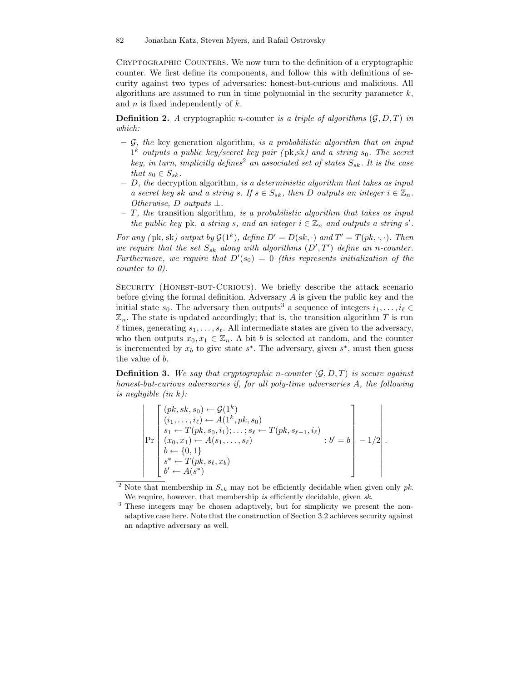Cryptographic Counters. We now turn to the definition of a cryptographic counter. We first define its components, and follow this with definitions of security against two types of adversaries: honest-but-curious and malicious. All algorithms are assumed to run in time polynomial in the security parameter  $k$ , and  $n$  is fixed independently of  $k$ .

**Definition 2.** A cryptographic *n*-counter is a triple of algorithms  $(\mathcal{G}, D, T)$  in which:

- $-$  G, the key generation algorithm, is a probabilistic algorithm that on input  $1^k$  outputs a public key/secret key pair (pk,sk) and a string  $s_0$ . The secret key, in turn, implicitly defines<sup>2</sup> an associated set of states  $S_{sk}$ . It is the case that  $s_0 \in S_{sk}$ .
- $D$ , the decryption algorithm, is a deterministic algorithm that takes as input a secret key sk and a string s. If  $s \in S_{sk}$ , then D outputs an integer  $i \in \mathbb{Z}_n$ . Otherwise, D outputs  $\bot$ .
- $-$  T, the transition algorithm, is a probabilistic algorithm that takes as input the public key pk, a string s, and an integer  $i \in \mathbb{Z}_n$  and outputs a string s'.

For any (pk, sk) output by  $\mathcal{G}(1^k)$ , define  $D' = D(sk, \cdot)$  and  $T' = T(pk, \cdot, \cdot)$ . Then we require that the set  $S_{sk}$  along with algorithms  $(D',T')$  define an n-counter. Furthermore, we require that  $D'(s_0) = 0$  (this represents initialization of the counter to 0).

SECURITY (HONEST-BUT-CURIOUS). We briefly describe the attack scenario before giving the formal definition. Adversary A is given the public key and the initial state  $s_0$ . The adversary then outputs<sup>3</sup> a sequence of integers  $i_1, \ldots, i_\ell \in$  $\mathbb{Z}_n$ . The state is updated accordingly; that is, the transition algorithm T is run  $\ell$  times, generating  $s_1, \ldots, s_\ell$ . All intermediate states are given to the adversary, who then outputs  $x_0, x_1 \in \mathbb{Z}_n$ . A bit b is selected at random, and the counter is incremented by  $x_b$  to give state  $s^*$ . The adversary, given  $s^*$ , must then guess the value of b.

**Definition 3.** We say that cryptographic n-counter  $(\mathcal{G}, D, T)$  is secure against honest-but-curious adversaries if, for all poly-time adversaries A, the following is negligible  $(in k)$ :

$$
\left| \Pr \begin{bmatrix} (pk, sk, s_0) \leftarrow \mathcal{G}(1^k) \\ (i_1, \dots, i_\ell) \leftarrow A(1^k, pk, s_0) \\ s_1 \leftarrow T(pk, s_0, i_1); \dots; s_\ell \leftarrow T(pk, s_{\ell-1}, i_\ell) \\ (x_0, x_1) \leftarrow A(s_1, \dots, s_\ell) \\ b \leftarrow \{0, 1\} \\ s^* \leftarrow T(pk, s_\ell, x_b) \\ b' \leftarrow A(s^*) \end{bmatrix} : b' = b \right] - 1/2 \right|.
$$

<sup>&</sup>lt;sup>2</sup> Note that membership in  $S_{sk}$  may not be efficiently decidable when given only pk. We require, however, that membership is efficiently decidable, given sk.

<sup>&</sup>lt;sup>3</sup> These integers may be chosen adaptively, but for simplicity we present the nonadaptive case here. Note that the construction of Section 3.2 achieves security against an adaptive adversary as well.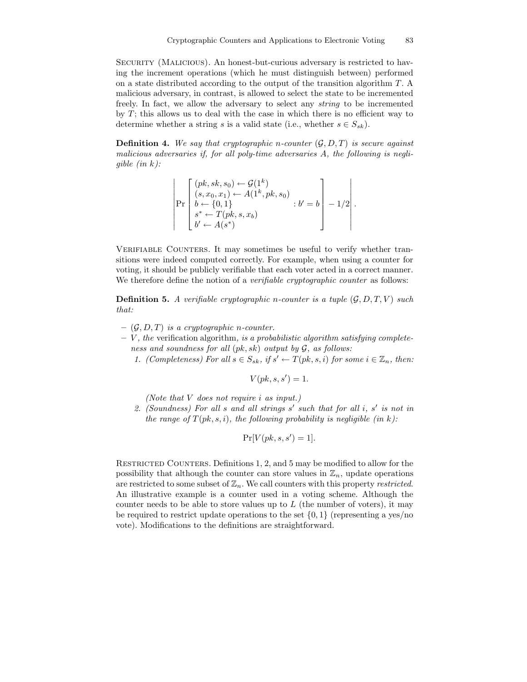Security (Malicious). An honest-but-curious adversary is restricted to having the increment operations (which he must distinguish between) performed on a state distributed according to the output of the transition algorithm T. A malicious adversary, in contrast, is allowed to select the state to be incremented freely. In fact, we allow the adversary to select any string to be incremented by  $T$ ; this allows us to deal with the case in which there is no efficient way to determine whether a string s is a valid state (i.e., whether  $s \in S_{sk}$ ).

**Definition 4.** We say that cryptographic n-counter  $(G, D, T)$  is secure against malicious adversaries if, for all poly-time adversaries A, the following is negliqible  $(in k)$ :

$$
\left| \Pr \begin{bmatrix} (pk, sk, s_0) \leftarrow \mathcal{G}(1^k) \\ (s, x_0, x_1) \leftarrow A(1^k, pk, s_0) \\ b \leftarrow \{0, 1\} \\ s^* \leftarrow T(pk, s, x_b) \\ b' \leftarrow A(s^*) \end{bmatrix} : b' = b \right] - 1/2 \right|.
$$

Verifiable Counters. It may sometimes be useful to verify whether transitions were indeed computed correctly. For example, when using a counter for voting, it should be publicly verifiable that each voter acted in a correct manner. We therefore define the notion of a *verifiable cryptographic counter* as follows:

**Definition 5.** A verifiable cryptographic n-counter is a tuple  $(\mathcal{G}, D, T, V)$  such that:

- $(\mathcal{G}, D, T)$  is a cryptographic n-counter.
- $V$ , the verification algorithm, is a probabilistic algorithm satisfying completeness and soundness for all  $(pk, sk)$  output by  $G$ , as follows:
	- 1. (Completeness) For all  $s \in S_{sk}$ , if  $s' \leftarrow T(pk, s, i)$  for some  $i \in \mathbb{Z}_n$ , then:

 $V(pk, s, s') = 1.$ 

(Note that V does not require i as input.)

2. (Soundness) For all  $s$  and all strings  $s'$  such that for all  $i$ ,  $s'$  is not in the range of  $T(pk, s, i)$ , the following probability is negligible (in k):

$$
\Pr[V(pk, s, s') = 1].
$$

RESTRICTED COUNTERS. Definitions 1, 2, and 5 may be modified to allow for the possibility that although the counter can store values in  $\mathbb{Z}_n$ , update operations are restricted to some subset of  $\mathbb{Z}_n$ . We call counters with this property restricted. An illustrative example is a counter used in a voting scheme. Although the counter needs to be able to store values up to  $L$  (the number of voters), it may be required to restrict update operations to the set  $\{0, 1\}$  (representing a yes/no vote). Modifications to the definitions are straightforward.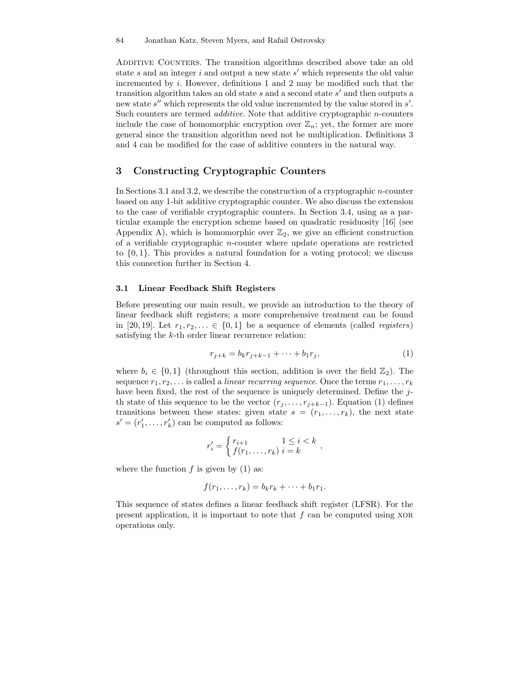ADDITIVE COUNTERS. The transition algorithms described above take an old state  $s$  and an integer  $i$  and output a new state  $s'$  which represents the old value incremented by  $i$ . However, definitions 1 and 2 may be modified such that the transition algorithm takes an old state  $s$  and a second state  $s'$  and then outputs a new state  $s''$  which represents the old value incremented by the value stored in  $s'$ . Such counters are termed *additive*. Note that additive cryptographic *n*-counters include the case of homomorphic encryption over  $\mathbb{Z}_n$ ; yet, the former are more general since the transition algorithm need not be multiplication. Definitions 3 and 4 can be modified for the case of additive counters in the natural way.

## 3 Constructing Cryptographic Counters

In Sections 3.1 and 3.2, we describe the construction of a cryptographic n-counter based on any 1-bit additive cryptographic counter. We also discuss the extension to the case of verifiable cryptographic counters. In Section 3.4, using as a particular example the encryption scheme based on quadratic residuosity [16] (see Appendix A), which is homomorphic over  $\mathbb{Z}_2$ , we give an efficient construction of a verifiable cryptographic n-counter where update operations are restricted to  $\{0,1\}$ . This provides a natural foundation for a voting protocol; we discuss this connection further in Section 4.

### 3.1 Linear Feedback Shift Registers

Before presenting our main result, we provide an introduction to the theory of linear feedback shift registers; a more comprehensive treatment can be found in [20, 19]. Let  $r_1, r_2, \ldots \in \{0, 1\}$  be a sequence of elements (called *registers*) satisfying the k-th order linear recurrence relation:

$$
r_{j+k} = b_k r_{j+k-1} + \dots + b_1 r_j,
$$
\n(1)

where  $b_i \in \{0,1\}$  (throughout this section, addition is over the field  $\mathbb{Z}_2$ ). The sequence  $r_1, r_2, \ldots$  is called a *linear recurring sequence*. Once the terms  $r_1, \ldots, r_k$ have been fixed, the rest of the sequence is uniquely determined. Define the jth state of this sequence to be the vector  $(r_j, \ldots, r_{j+k-1})$ . Equation (1) defines transitions between these states: given state  $s = (r_1, \ldots, r_k)$ , the next state  $s' = (r'_1, \ldots, r'_k)$  can be computed as follows:

$$
r'_{i} = \begin{cases} r_{i+1} & 1 \leq i < k \\ f(r_1, \ldots, r_k) & i = k \end{cases},
$$

where the function  $f$  is given by (1) as:

$$
f(r_1,\ldots,r_k)=b_kr_k+\cdots+b_1r_1.
$$

This sequence of states defines a linear feedback shift register (LFSR). For the present application, it is important to note that  $f$  can be computed using  $XOR$ operations only.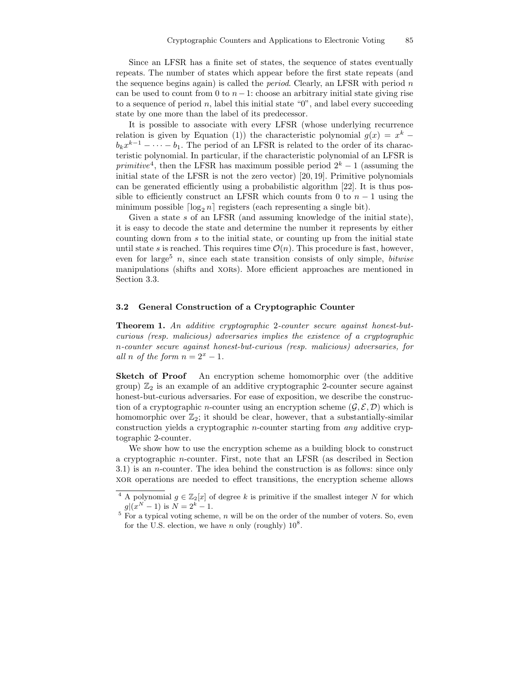Since an LFSR has a finite set of states, the sequence of states eventually repeats. The number of states which appear before the first state repeats (and the sequence begins again) is called the *period*. Clearly, an LFSR with period  $n$ can be used to count from 0 to  $n-1$ : choose an arbitrary initial state giving rise to a sequence of period  $n$ , label this initial state " $0$ ", and label every succeeding state by one more than the label of its predecessor.

It is possible to associate with every LFSR (whose underlying recurrence relation is given by Equation (1)) the characteristic polynomial  $g(x) = x^k$  $b_k x^{k-1} - \cdots - b_1$ . The period of an LFSR is related to the order of its characteristic polynomial. In particular, if the characteristic polynomial of an LFSR is primitive<sup>4</sup>, then the LFSR has maximum possible period  $2^k - 1$  (assuming the initial state of the LFSR is not the zero vector) [20, 19]. Primitive polynomials can be generated efficiently using a probabilistic algorithm [22]. It is thus possible to efficiently construct an LFSR which counts from 0 to  $n-1$  using the minimum possible  $\lceil \log_2 n \rceil$  registers (each representing a single bit).

Given a state s of an LFSR (and assuming knowledge of the initial state), it is easy to decode the state and determine the number it represents by either counting down from s to the initial state, or counting up from the initial state until state s is reached. This requires time  $\mathcal{O}(n)$ . This procedure is fast, however, even for large<sup>5</sup> n, since each state transition consists of only simple, *bitwise* manipulations (shifts and xors). More efficient approaches are mentioned in Section 3.3.

### 3.2 General Construction of a Cryptographic Counter

Theorem 1. An additive cryptographic 2-counter secure against honest-butcurious (resp. malicious) adversaries implies the existence of a cryptographic n-counter secure against honest-but-curious (resp. malicious) adversaries, for all n of the form  $n = 2^x - 1$ .

Sketch of Proof An encryption scheme homomorphic over (the additive group)  $\mathbb{Z}_2$  is an example of an additive cryptographic 2-counter secure against honest-but-curious adversaries. For ease of exposition, we describe the construction of a cryptographic *n*-counter using an encryption scheme  $(\mathcal{G}, \mathcal{E}, \mathcal{D})$  which is homomorphic over  $\mathbb{Z}_2$ ; it should be clear, however, that a substantially-similar construction yields a cryptographic n-counter starting from any additive cryptographic 2-counter.

We show how to use the encryption scheme as a building block to construct a cryptographic n-counter. First, note that an LFSR (as described in Section 3.1) is an n-counter. The idea behind the construction is as follows: since only xor operations are needed to effect transitions, the encryption scheme allows

A polynomial  $g \in \mathbb{Z}_2[x]$  of degree k is primitive if the smallest integer N for which  $g|(x^N-1)$  is  $N=2^k-1$ .

 $5$  For a typical voting scheme, n will be on the order of the number of voters. So, even for the U.S. election, we have n only (roughly)  $10^8$ .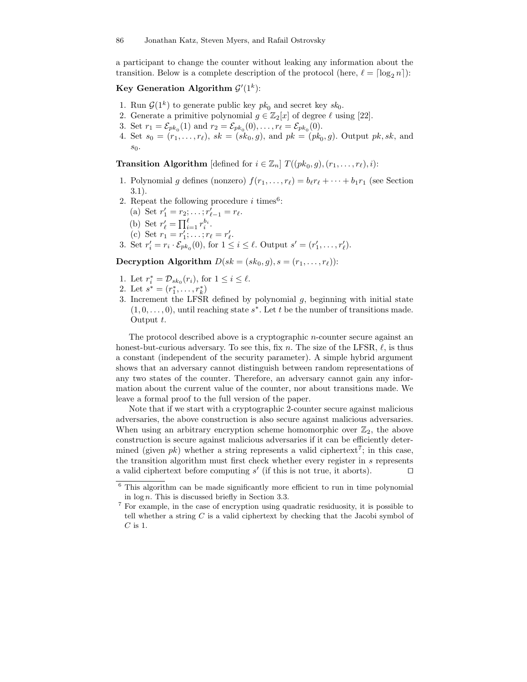a participant to change the counter without leaking any information about the transition. Below is a complete description of the protocol (here,  $\ell = \lceil \log_2 n \rceil$ ):

## Key Generation Algorithm  $\mathcal{G}'(1^k)$ :

- 1. Run  $\mathcal{G}(1^k)$  to generate public key  $pk_0$  and secret key  $sk_0$ .
- 2. Generate a primitive polynomial  $g \in \mathbb{Z}_2[x]$  of degree  $\ell$  using [22].
- 3. Set  $r_1 = \mathcal{E}_{pk_0}(1)$  and  $r_2 = \mathcal{E}_{pk_0}(0), \ldots, r_\ell = \mathcal{E}_{pk_0}(0)$ .
- 4. Set  $s_0 = (r_1, \ldots, r_\ell)$ ,  $sk = (sk_0, g)$ , and  $pk = (pk_0, g)$ . Output  $pk, sk$ , and  $s_0$ .

**Transition Algorithm** [defined for  $i \in \mathbb{Z}_n$ ]  $T((pk_0, g), (r_1, \ldots, r_\ell), i)$ :

- 1. Polynomial g defines (nonzero)  $f(r_1, \ldots, r_\ell) = b_\ell r_\ell + \cdots + b_1 r_1$  (see Section 3.1).
- 2. Repeat the following procedure  $i$  times<sup>6</sup>:
	- (a) Set  $r'_1 = r_2; \ldots; r'_{\ell-1} = r_{\ell}$ .
	- (b) Set  $r'_{\ell} = \prod_{i=1}^{\ell} r_i^{b_i}$ .
	- (c) Set  $r_1 = r'_1; \ldots; r_\ell = r'_\ell.$
- 3. Set  $r'_{i} = r_{i} \cdot \mathcal{E}_{pk_{0}}(0)$ , for  $1 \leq i \leq \ell$ . Output  $s' = (r'_{1}, \ldots, r'_{\ell})$ .

Decryption Algorithm  $D(sk = (sk_0, g), s = (r_1, \ldots, r_\ell))$ :

- 1. Let  $r_i^* = \mathcal{D}_{sk_0}(r_i)$ , for  $1 \leq i \leq \ell$ .
- 2. Let  $s^* = (r_1^*, \ldots, r_k^*)$
- 3. Increment the LFSR defined by polynomial  $q$ , beginning with initial state  $(1,0,\ldots,0)$ , until reaching state  $s^*$ . Let t be the number of transitions made. Output t.

The protocol described above is a cryptographic n-counter secure against an honest-but-curious adversary. To see this, fix n. The size of the LFSR,  $\ell$ , is thus a constant (independent of the security parameter). A simple hybrid argument shows that an adversary cannot distinguish between random representations of any two states of the counter. Therefore, an adversary cannot gain any information about the current value of the counter, nor about transitions made. We leave a formal proof to the full version of the paper.

Note that if we start with a cryptographic 2-counter secure against malicious adversaries, the above construction is also secure against malicious adversaries. When using an arbitrary encryption scheme homomorphic over  $\mathbb{Z}_2$ , the above construction is secure against malicious adversaries if it can be efficiently determined (given  $pk$ ) whether a string represents a valid ciphertext<sup>7</sup>; in this case, the transition algorithm must first check whether every register in s represents a valid ciphertext before computing  $s'$  (if this is not true, it aborts).

<sup>6</sup> This algorithm can be made significantly more efficient to run in time polynomial in  $log n$ . This is discussed briefly in Section 3.3.

<sup>7</sup> For example, in the case of encryption using quadratic residuosity, it is possible to tell whether a string  $C$  is a valid ciphertext by checking that the Jacobi symbol of  ${\cal C}$  is 1.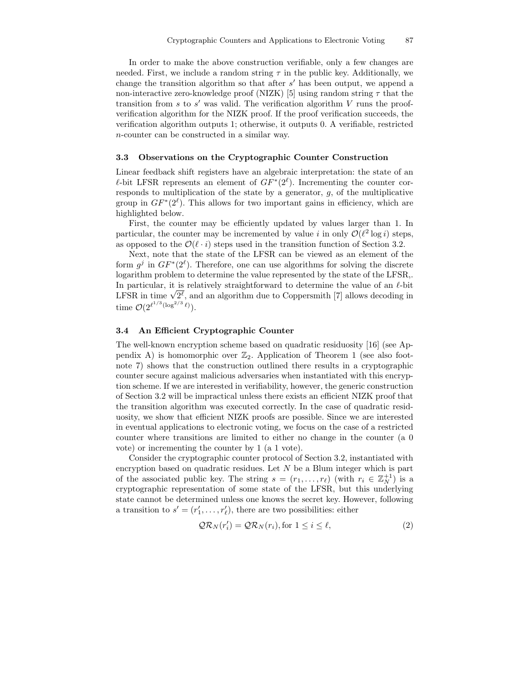In order to make the above construction verifiable, only a few changes are needed. First, we include a random string  $\tau$  in the public key. Additionally, we change the transition algorithm so that after  $s'$  has been output, we append a non-interactive zero-knowledge proof (NIZK) [5] using random string  $\tau$  that the transition from  $s$  to  $s'$  was valid. The verification algorithm  $V$  runs the proofverification algorithm for the NIZK proof. If the proof verification succeeds, the verification algorithm outputs 1; otherwise, it outputs 0. A verifiable, restricted n-counter can be constructed in a similar way.

### 3.3 Observations on the Cryptographic Counter Construction

Linear feedback shift registers have an algebraic interpretation: the state of an  $\ell$ -bit LFSR represents an element of  $GF^*(2^{\ell})$ . Incrementing the counter corresponds to multiplication of the state by a generator,  $g$ , of the multiplicative group in  $GF^*(2^{\ell})$ . This allows for two important gains in efficiency, which are highlighted below.

First, the counter may be efficiently updated by values larger than 1. In particular, the counter may be incremented by value *i* in only  $\mathcal{O}(\ell^2 \log i)$  steps, as opposed to the  $\mathcal{O}(\ell \cdot i)$  steps used in the transition function of Section 3.2.

Next, note that the state of the LFSR can be viewed as an element of the form  $g^j$  in  $GF^*(2^{\ell})$ . Therefore, one can use algorithms for solving the discrete logarithm problem to determine the value represented by the state of the LFSR,. In particular, it is relatively straightforward to determine the value of an  $\ell$ -bit LFSR in time  $\sqrt{2^{\ell}}$ , and an algorithm due to Coppersmith [7] allows decoding in time  $\mathcal{O}(2^{\ell^{1/3}(\log^{2/3} \ell)})$ .

### 3.4 An Efficient Cryptographic Counter

The well-known encryption scheme based on quadratic residuosity [16] (see Appendix A) is homomorphic over  $\mathbb{Z}_2$ . Application of Theorem 1 (see also footnote 7) shows that the construction outlined there results in a cryptographic counter secure against malicious adversaries when instantiated with this encryption scheme. If we are interested in verifiability, however, the generic construction of Section 3.2 will be impractical unless there exists an efficient NIZK proof that the transition algorithm was executed correctly. In the case of quadratic residuosity, we show that efficient NIZK proofs are possible. Since we are interested in eventual applications to electronic voting, we focus on the case of a restricted counter where transitions are limited to either no change in the counter (a 0 vote) or incrementing the counter by 1 (a 1 vote).

Consider the cryptographic counter protocol of Section 3.2, instantiated with encryption based on quadratic residues. Let  $N$  be a Blum integer which is part of the associated public key. The string  $s = (r_1, \ldots, r_\ell)$  (with  $r_i \in \mathbb{Z}_N^{+1}$ ) is a cryptographic representation of some state of the LFSR, but this underlying state cannot be determined unless one knows the secret key. However, following a transition to  $s' = (r'_1, \ldots, r'_\ell)$ , there are two possibilities: either

$$
QR_N(r_i') = QR_N(r_i), \text{for } 1 \le i \le \ell,
$$
\n(2)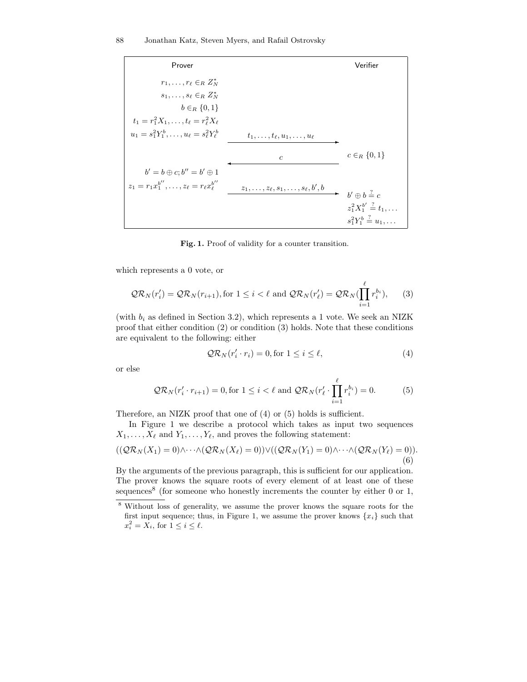| Prover                                                      |                                            | Verifier                                     |
|-------------------------------------------------------------|--------------------------------------------|----------------------------------------------|
| $r_1, \ldots, r_\ell \in_B Z_N^*$                           |                                            |                                              |
| $s_1,\ldots,s_\ell\in_R Z_N^*$                              |                                            |                                              |
| $b \in_R \{0,1\}$                                           |                                            |                                              |
| $t_1 = r_1^2 X_1, \ldots, t_\ell = r_\ell^2 X_\ell$         |                                            |                                              |
| $u_1 = s_1^2 Y_1^b, \ldots, u_\ell = s_\ell^2 Y_\ell^b$     | $t_1,\ldots,t_\ell,u_1,\ldots,u_\ell$      |                                              |
|                                                             | $\epsilon$                                 | $c \in_R \{0,1\}$                            |
| $b' = b \oplus c$ ; $b'' = b' \oplus 1$                     |                                            |                                              |
| $z_1 = r_1 x_1^{b''}, \ldots, z_\ell = r_\ell x_\ell^{b''}$ | $z_1,\ldots,z_\ell,s_1,\ldots,s_\ell,b',b$ | $b' \oplus b \stackrel{?}{=} c$              |
|                                                             |                                            | $z_1^2 X_1^{b'} \stackrel{?}{=} t_1, \ldots$ |
|                                                             |                                            | $s_1^2 Y_1^b \stackrel{?}{=} u_1, \ldots$    |
|                                                             |                                            |                                              |

Fig. 1. Proof of validity for a counter transition.

which represents a 0 vote, or

$$
\mathcal{QR}_N(r_i') = \mathcal{QR}_N(r_{i+1}), \text{for } 1 \le i < \ell \text{ and } \mathcal{QR}_N(r_\ell') = \mathcal{QR}_N(\prod_{i=1}^\ell r_i^{b_i}), \qquad (3)
$$

(with  $b_i$  as defined in Section 3.2), which represents a 1 vote. We seek an NIZK proof that either condition (2) or condition (3) holds. Note that these conditions are equivalent to the following: either

$$
QR_N(r'_i \cdot r_i) = 0, \text{for } 1 \le i \le \ell,
$$
\n(4)

or else

$$
\mathcal{QR}_N(r_i' \cdot r_{i+1}) = 0, \text{for } 1 \le i < \ell \text{ and } \mathcal{QR}_N(r_\ell' \cdot \prod_{i=1}^\ell r_i^{b_i}) = 0. \tag{5}
$$

Therefore, an NIZK proof that one of (4) or (5) holds is sufficient.

In Figure 1 we describe a protocol which takes as input two sequences  $X_1, \ldots, X_\ell$  and  $Y_1, \ldots, Y_\ell$ , and proves the following statement:

$$
((\mathcal{Q}\mathcal{R}_N(X_1) = 0) \wedge \cdots \wedge (\mathcal{Q}\mathcal{R}_N(X_\ell) = 0)) \vee ((\mathcal{Q}\mathcal{R}_N(Y_1) = 0) \wedge \cdots \wedge (\mathcal{Q}\mathcal{R}_N(Y_\ell) = 0)).
$$
\n(6)

By the arguments of the previous paragraph, this is sufficient for our application. The prover knows the square roots of every element of at least one of these sequences<sup>8</sup> (for someone who honestly increments the counter by either 0 or 1,

<sup>8</sup> Without loss of generality, we assume the prover knows the square roots for the first input sequence; thus, in Figure 1, we assume the prover knows  $\{x_i\}$  such that  $x_i^2 = X_i$ , for  $1 \leq i \leq \ell$ .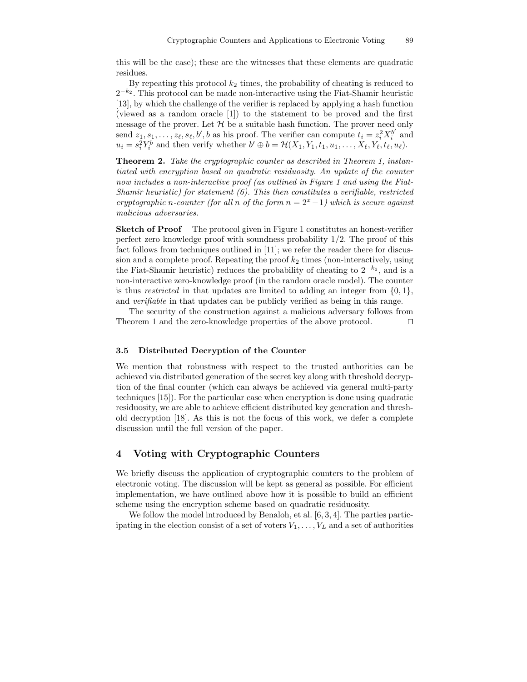this will be the case); these are the witnesses that these elements are quadratic residues.

By repeating this protocol  $k_2$  times, the probability of cheating is reduced to  $2^{-k_2}$ . This protocol can be made non-interactive using the Fiat-Shamir heuristic [13], by which the challenge of the verifier is replaced by applying a hash function (viewed as a random oracle [1]) to the statement to be proved and the first message of the prover. Let  $H$  be a suitable hash function. The prover need only send  $z_1, s_1, \ldots, z_\ell, s_\ell, b', b$  as his proof. The verifier can compute  $t_i = z_i^2 X_i^{b'}$  $i^{\prime}$  and  $u_i = s_i^2 Y_i^b$  and then verify whether  $b' \oplus b = \mathcal{H}(X_1, Y_1, t_1, u_1, \dots, X_\ell, Y_\ell, t_\ell, u_\ell)$ .

Theorem 2. Take the cryptographic counter as described in Theorem 1, instantiated with encryption based on quadratic residuosity. An update of the counter now includes a non-interactive proof (as outlined in Figure 1 and using the Fiat-Shamir heuristic) for statement  $(6)$ . This then constitutes a verifiable, restricted cryptographic n-counter (for all n of the form  $n = 2<sup>x</sup> - 1$ ) which is secure against malicious adversaries.

**Sketch of Proof** The protocol given in Figure 1 constitutes an honest-verifier perfect zero knowledge proof with soundness probability 1/2. The proof of this fact follows from techniques outlined in [11]; we refer the reader there for discussion and a complete proof. Repeating the proof  $k_2$  times (non-interactively, using the Fiat-Shamir heuristic) reduces the probability of cheating to  $2^{-k_2}$ , and is a non-interactive zero-knowledge proof (in the random oracle model). The counter is thus *restricted* in that updates are limited to adding an integer from  $\{0, 1\}$ , and verifiable in that updates can be publicly verified as being in this range.

The security of the construction against a malicious adversary follows from Theorem 1 and the zero-knowledge properties of the above protocol.  $\Box$ 

### 3.5 Distributed Decryption of the Counter

We mention that robustness with respect to the trusted authorities can be achieved via distributed generation of the secret key along with threshold decryption of the final counter (which can always be achieved via general multi-party techniques [15]). For the particular case when encryption is done using quadratic residuosity, we are able to achieve efficient distributed key generation and threshold decryption [18]. As this is not the focus of this work, we defer a complete discussion until the full version of the paper.

## 4 Voting with Cryptographic Counters

We briefly discuss the application of cryptographic counters to the problem of electronic voting. The discussion will be kept as general as possible. For efficient implementation, we have outlined above how it is possible to build an efficient scheme using the encryption scheme based on quadratic residuosity.

We follow the model introduced by Benaloh, et al. [6, 3, 4]. The parties participating in the election consist of a set of voters  $V_1, \ldots, V_L$  and a set of authorities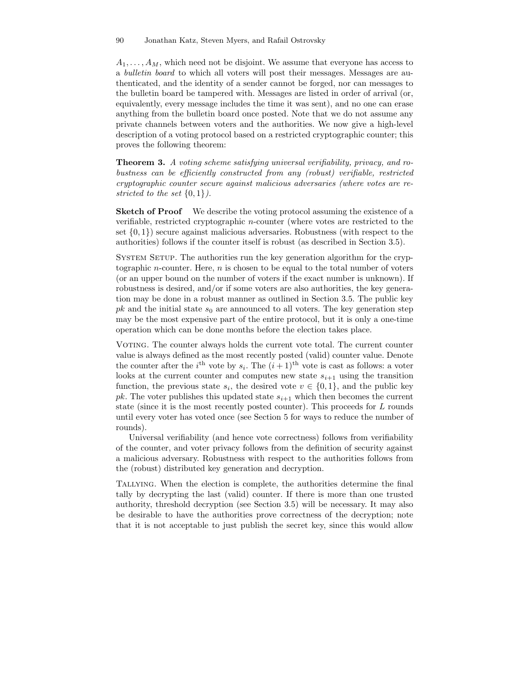90 Jonathan Katz, Steven Myers, and Rafail Ostrovsky

 $A_1, \ldots, A_M$ , which need not be disjoint. We assume that everyone has access to a bulletin board to which all voters will post their messages. Messages are authenticated, and the identity of a sender cannot be forged, nor can messages to the bulletin board be tampered with. Messages are listed in order of arrival (or, equivalently, every message includes the time it was sent), and no one can erase anything from the bulletin board once posted. Note that we do not assume any private channels between voters and the authorities. We now give a high-level description of a voting protocol based on a restricted cryptographic counter; this proves the following theorem:

Theorem 3. A voting scheme satisfying universal verifiability, privacy, and robustness can be efficiently constructed from any (robust) verifiable, restricted cryptographic counter secure against malicious adversaries (where votes are restricted to the set  $\{0,1\}$ .

**Sketch of Proof** We describe the voting protocol assuming the existence of a verifiable, restricted cryptographic n-counter (where votes are restricted to the set  $\{0,1\}$ ) secure against malicious adversaries. Robustness (with respect to the authorities) follows if the counter itself is robust (as described in Section 3.5).

SYSTEM SETUP. The authorities run the key generation algorithm for the cryptographic *n*-counter. Here, *n* is chosen to be equal to the total number of voters (or an upper bound on the number of voters if the exact number is unknown). If robustness is desired, and/or if some voters are also authorities, the key generation may be done in a robust manner as outlined in Section 3.5. The public key  $pk$  and the initial state  $s_0$  are announced to all voters. The key generation step may be the most expensive part of the entire protocol, but it is only a one-time operation which can be done months before the election takes place.

Voting. The counter always holds the current vote total. The current counter value is always defined as the most recently posted (valid) counter value. Denote the counter after the *i*<sup>th</sup> vote by  $s_i$ . The  $(i+1)$ <sup>th</sup> vote is cast as follows: a voter looks at the current counter and computes new state  $s_{i+1}$  using the transition function, the previous state  $s_i$ , the desired vote  $v \in \{0,1\}$ , and the public key pk. The voter publishes this updated state  $s_{i+1}$  which then becomes the current state (since it is the most recently posted counter). This proceeds for L rounds until every voter has voted once (see Section 5 for ways to reduce the number of rounds).

Universal verifiability (and hence vote correctness) follows from verifiability of the counter, and voter privacy follows from the definition of security against a malicious adversary. Robustness with respect to the authorities follows from the (robust) distributed key generation and decryption.

Tallying. When the election is complete, the authorities determine the final tally by decrypting the last (valid) counter. If there is more than one trusted authority, threshold decryption (see Section 3.5) will be necessary. It may also be desirable to have the authorities prove correctness of the decryption; note that it is not acceptable to just publish the secret key, since this would allow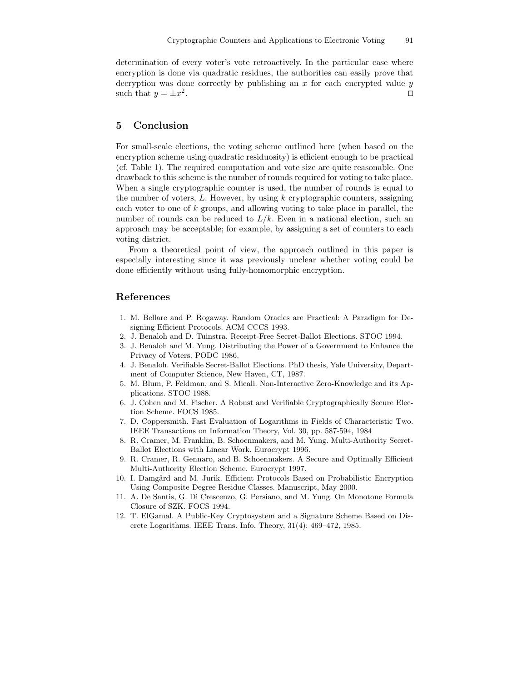determination of every voter's vote retroactively. In the particular case where encryption is done via quadratic residues, the authorities can easily prove that decryption was done correctly by publishing an  $x$  for each encrypted value  $y$ such that  $y = \pm x^2$ . The contract of the contract of the contract of the contract of the contract of the contract of the contract<br>The contract of the contract of the contract of the contract of the contract of the contract of the contract o

## 5 Conclusion

For small-scale elections, the voting scheme outlined here (when based on the encryption scheme using quadratic residuosity) is efficient enough to be practical (cf. Table 1). The required computation and vote size are quite reasonable. One drawback to this scheme is the number of rounds required for voting to take place. When a single cryptographic counter is used, the number of rounds is equal to the number of voters,  $L$ . However, by using  $k$  cryptographic counters, assigning each voter to one of  $k$  groups, and allowing voting to take place in parallel, the number of rounds can be reduced to  $L/k$ . Even in a national election, such an approach may be acceptable; for example, by assigning a set of counters to each voting district.

From a theoretical point of view, the approach outlined in this paper is especially interesting since it was previously unclear whether voting could be done efficiently without using fully-homomorphic encryption.

## References

- 1. M. Bellare and P. Rogaway. Random Oracles are Practical: A Paradigm for Designing Efficient Protocols. ACM CCCS 1993.
- 2. J. Benaloh and D. Tuinstra. Receipt-Free Secret-Ballot Elections. STOC 1994.
- 3. J. Benaloh and M. Yung. Distributing the Power of a Government to Enhance the Privacy of Voters. PODC 1986.
- 4. J. Benaloh. Verifiable Secret-Ballot Elections. PhD thesis, Yale University, Department of Computer Science, New Haven, CT, 1987.
- 5. M. Blum, P. Feldman, and S. Micali. Non-Interactive Zero-Knowledge and its Applications. STOC 1988.
- 6. J. Cohen and M. Fischer. A Robust and Verifiable Cryptographically Secure Election Scheme. FOCS 1985.
- 7. D. Coppersmith. Fast Evaluation of Logarithms in Fields of Characteristic Two. IEEE Transactions on Information Theory, Vol. 30, pp. 587-594, 1984
- 8. R. Cramer, M. Franklin, B. Schoenmakers, and M. Yung. Multi-Authority Secret-Ballot Elections with Linear Work. Eurocrypt 1996.
- 9. R. Cramer, R. Gennaro, and B. Schoenmakers. A Secure and Optimally Efficient Multi-Authority Election Scheme. Eurocrypt 1997.
- 10. I. Damgård and M. Jurik. Efficient Protocols Based on Probabilistic Encryption Using Composite Degree Residue Classes. Manuscript, May 2000.
- 11. A. De Santis, G. Di Crescenzo, G. Persiano, and M. Yung. On Monotone Formula Closure of SZK. FOCS 1994.
- 12. T. ElGamal. A Public-Key Cryptosystem and a Signature Scheme Based on Discrete Logarithms. IEEE Trans. Info. Theory, 31(4): 469–472, 1985.